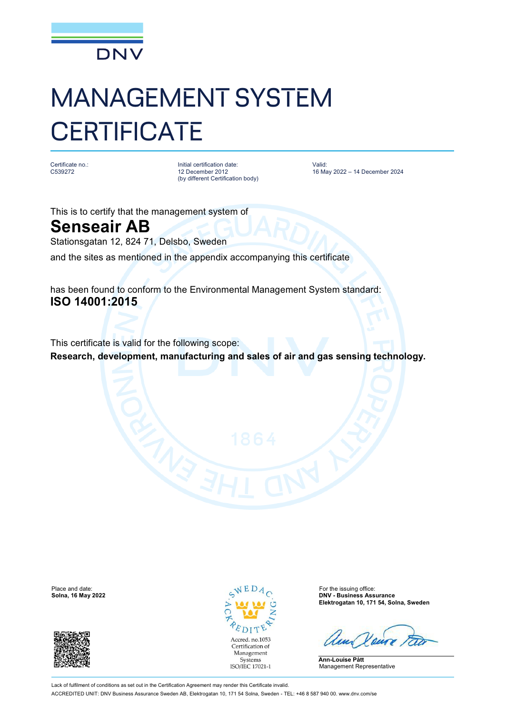

## MANAGEMENT SYSTEM **CERTIFICATE**

Certificate no.: C539272

Initial certification date: 12 December 2012 (by different Certification body) Valid: 16 May 2022 – 14 December 2024

This is to certify that the management system of

## **Senseair AB**

Stationsgatan 12, 824 71, Delsbo, Sweden

and the sites as mentioned in the appendix accompanying this certificate

has been found to conform to the Environmental Management System standard: **ISO 14001:2015**

This certificate is valid for the following scope: **Research, development, manufacturing and sales of air and gas sensing technology.**





**Solna, 16 May 2022 DNV - Business Assurance Elektrogatan 10, 171 54, Solna, Sweden**

**Ann-Louise Pått** Management Representative

Lack of fulfilment of conditions as set out in the Certification Agreement may render this Certificate invalid. ACCREDITED UNIT: DNV Business Assurance Sweden AB, Elektrogatan 10, 171 54 Solna, Sweden - TEL: +46 8 587 940 00. [www.dnv.com/se](http://www.dnv.com/se)